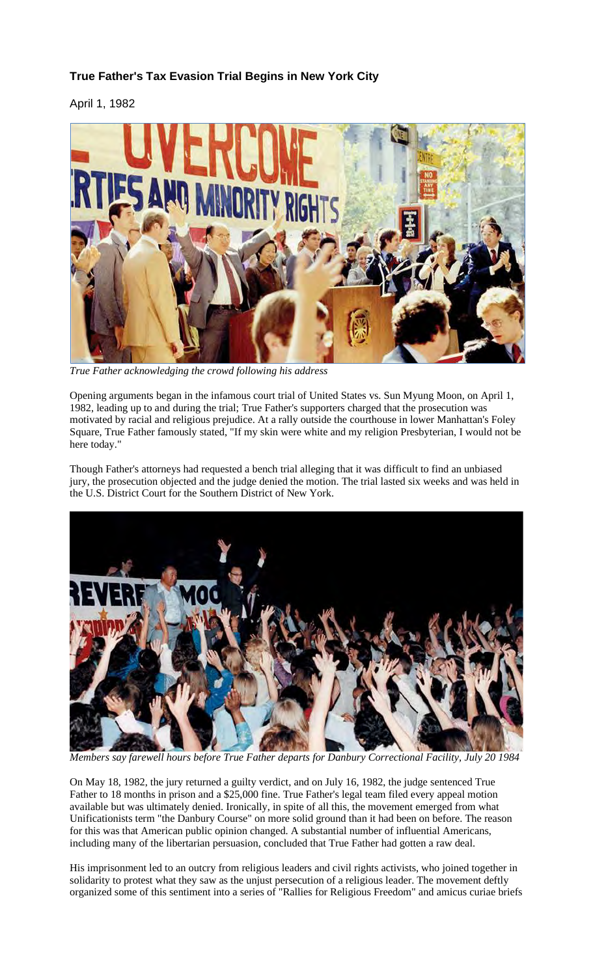## **True Father's Tax Evasion Trial Begins in New York City**

April 1, 1982



*True Father acknowledging the crowd following his address*

Opening arguments began in the infamous court trial of United States vs. Sun Myung Moon, on April 1, 1982, leading up to and during the trial; True Father's supporters charged that the prosecution was motivated by racial and religious prejudice. At a rally outside the courthouse in lower Manhattan's Foley Square, True Father famously stated, "If my skin were white and my religion Presbyterian, I would not be here today."

Though Father's attorneys had requested a bench trial alleging that it was difficult to find an unbiased jury, the prosecution objected and the judge denied the motion. The trial lasted six weeks and was held in the U.S. District Court for the Southern District of New York.



*Members say farewell hours before True Father departs for Danbury Correctional Facility, July 20 1984*

On May 18, 1982, the jury returned a guilty verdict, and on July 16, 1982, the judge sentenced True Father to 18 months in prison and a \$25,000 fine. True Father's legal team filed every appeal motion available but was ultimately denied. Ironically, in spite of all this, the movement emerged from what Unificationists term "the Danbury Course" on more solid ground than it had been on before. The reason for this was that American public opinion changed. A substantial number of influential Americans, including many of the libertarian persuasion, concluded that True Father had gotten a raw deal.

His imprisonment led to an outcry from religious leaders and civil rights activists, who joined together in solidarity to protest what they saw as the unjust persecution of a religious leader. The movement deftly organized some of this sentiment into a series of "Rallies for Religious Freedom" and amicus curiae briefs